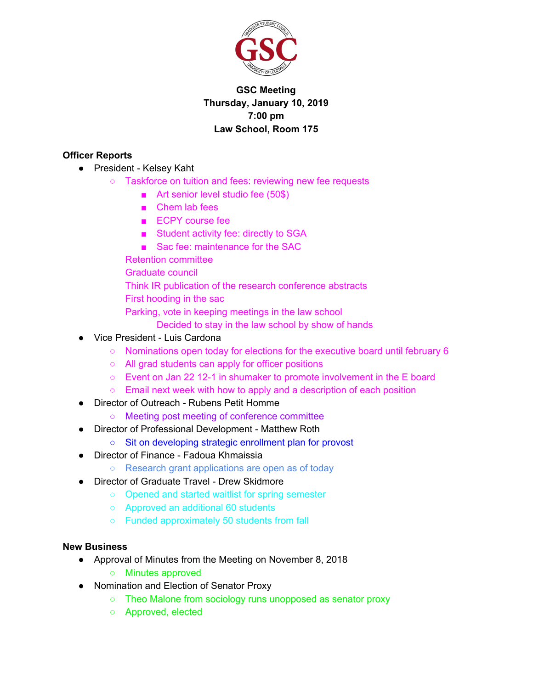

# **GSC Meeting Thursday, January 10, 2019 7:00 pm Law School, Room 175**

### **Officer Reports**

- President Kelsey Kaht
	- Taskforce on tuition and fees: reviewing new fee requests
		- Art senior level studio fee (50\$)
		- Chem lab fees
		- ECPY course fee
		- Student activity fee: directly to SGA
		- Sac fee: maintenance for the SAC
		- Retention committee
		- Graduate council
		- Think IR publication of the research conference abstracts
		- First hooding in the sac
		- Parking, vote in keeping meetings in the law school
			- Decided to stay in the law school by show of hands
- Vice President Luis Cardona
	- Nominations open today for elections for the executive board until february 6
	- All grad students can apply for officer positions
	- Event on Jan 22 12-1 in shumaker to promote involvement in the E board
	- Email next week with how to apply and a description of each position
- **Director of Outreach Rubens Petit Homme** 
	- Meeting post meeting of conference committee
- Director of Professional Development Matthew Roth
	- Sit on developing strategic enrollment plan for provost
- Director of Finance Fadoua Khmaissia
	- Research grant applications are open as of today
- Director of Graduate Travel Drew Skidmore
	- Opened and started waitlist for spring semester
	- Approved an additional 60 students
	- Funded approximately 50 students from fall

#### **New Business**

- Approval of Minutes from the Meeting on November 8, 2018
	- Minutes approved
- Nomination and Election of Senator Proxy
	- Theo Malone from sociology runs unopposed as senator proxy
	- Approved, elected